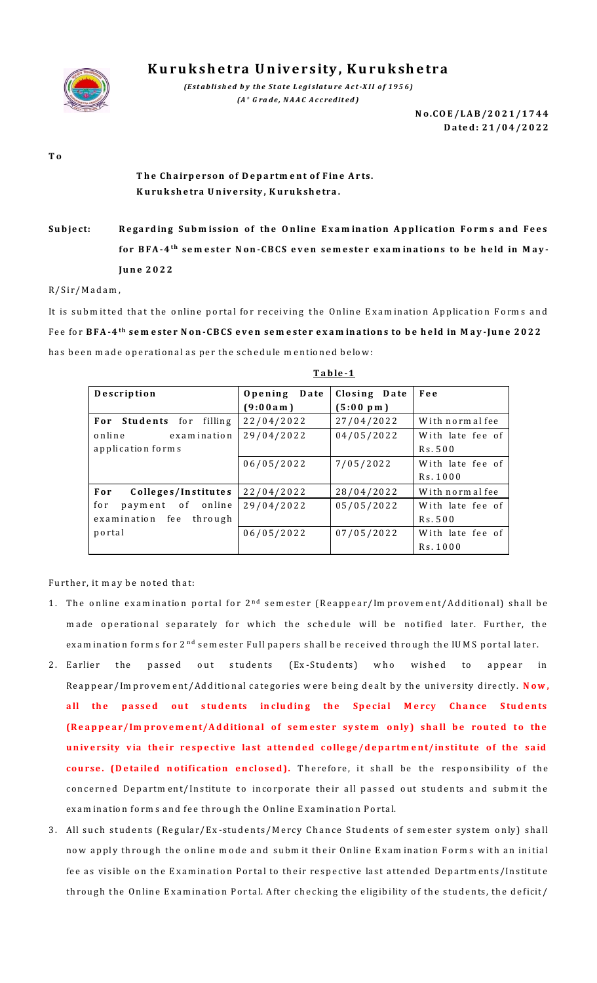

**K u r u k s h e tr a U n iv e r s ity , K u r u k sh e tr a**

*(Established by the State Legislature Act-XII of 1956) (A <sup>+</sup> G ra d e , N A A C A c c re d it e d )*

> **N o .C O E / L A B / 2 0 2 1 /1 744 D a te d : 2 1 /0 4 / 2 0 2 2**

**T o**

## The Chairperson of Department of Fine Arts. **K u ru k sh e tra U n iv e rsity , K u ru k sh e tra .**

Subject: Regarding Submission of the Online Examination Application Forms and Fees **f o r B F A -4 th se m e ste r N o n -C B C S even se m e ste r e xa m in a tio n s to b e h e ld in M a y - Ju n e 2 0 2 2** 

R/Sir/Madam,

It is submitted that the online portal for receiving the Online Examination Application Forms and F e e fo r **B F A -4 th se m e ste r N o n -C B C S even se m e ste r e x a m in a tio n s to b e h e ld in M a y -Ju n e 2 0 2 2**  has been made operational as per the schedule mentioned below:

| Description                    | Opening Date | Closing Date        | Fee              |
|--------------------------------|--------------|---------------------|------------------|
|                                | (9:00am)     | $(5:00~\text{p m})$ |                  |
| For Students for filling       | 22/04/2022   | 27/04/2022          | With normal fee  |
| online<br>examination          | 29/04/2022   | 04/05/2022          | With late fee of |
| application forms              |              |                     | Rs. 500          |
|                                | 06/05/2022   | 7/05/2022           | With late fee of |
|                                |              |                     | Rs. 1000         |
| Colleges/Institutes<br>For     | 22/04/2022   | 28/04/2022          | With normal fee  |
| payment of<br>online<br>for    | 29/04/2022   | 05/05/2022          | With late fee of |
| examination<br>fe e<br>through |              |                     | Rs. 500          |
| portal                         | 06/05/2022   | 07/05/2022          | With late fee of |
|                                |              |                     | Rs. 1000         |

**T a b le -1**

Further, it may be noted that:

- 1. The online examination portal for 2<sup>nd</sup> semester (Reappear/Improvement/Additional) shall be made operational separately for which the schedule will be notified later. Further, the examination forms for 2<sup>nd</sup> sem ester Full papers shall be received through the IUMS portal later.
- 2. Earlier the passed out students (Ex-Students) who wished to appear in Reappear/Im provem ent/Additional categories were being dealt by the university directly. Now, all the passed out students including the Special Mercy Chance Students (Reappear/Improvement/Additional of semester system only) shall be routed to the university via their respective last attended college/department/institute of the said course. (Detailed notification enclosed). Therefore, it shall be the responsibility of the concerned Department/Institute to incorporate their all passed out students and submit the examination forms and fee through the Online Examination Portal.
- 3. All such students (Regular/Ex-students/Mercy Chance Students of semester system only) shall now apply through the online mode and submit their Online Examination Forms with an initial fee as visible on the Examination Portal to their respective last attended Departments/Institute th rough the Online Examination Portal. After checking the eligibility of the students, the deficit/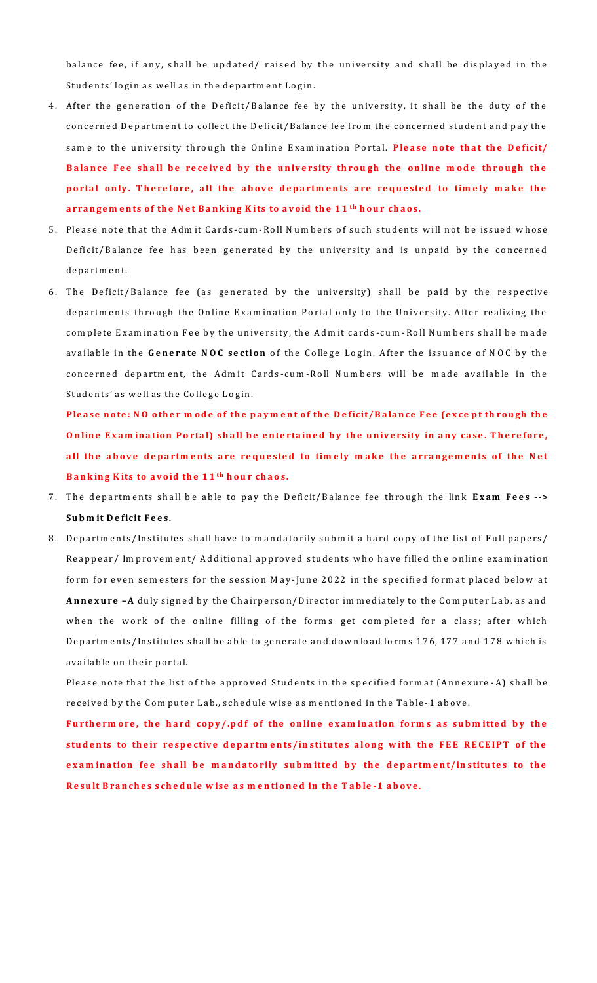balance fee, if any, shall be updated/ raised by the university and shall be displayed in the Students' login as well as in the department Login.

- 4. After the generation of the Deficit/Balance fee by the university, it shall be the duty of the concerned Department to collect the Deficit/Balance fee from the concerned student and pay the same to the university through the Online Examination Portal. Please note that the Deficit/ Balance Fee shall be received by the university through the online mode through the portal only. Therefore, all the above departments are requested to timely make the arrangements of the Net Banking Kits to avoid the 11<sup>th</sup> hour chaos.
- 5. Please note that the Admit Cards-cum-Roll Numbers of such students will not be issued whose Deficit/Balance fee has been generated by the university and is unpaid by the concerned department.
- 6. The Deficit/Balance fee (as generated by the university) shall be paid by the respective departments through the Online Examination Portal only to the University. After realizing the com plete Exam ination Fee by the university, the Admit cards-cum-Roll Numbers shall be made available in the Generate NOC section of the College Login. After the issuance of NOC by the concerned department, the Admit Cards-cum-Roll Numbers will be made available in the Students' as well as the College Login.

Please note: NO other mode of the payment of the Deficit/Balance Fee (except through the **Online Examination Portal) shall be entertained by the university in any case. Therefore,** all the above departments are requested to timely make the arrangements of the Net **Banking Kits to avoid the 11<sup>th</sup> hour chaos.** 

- 7. The departments shall be able to pay the Deficit/Balance fee through the link **Exam Fees -->** Subm it Deficit Fees.
- 8. Departments/Institutes shall have to mandatorily submit a hard copy of the list of Full papers/ Reappear/ Im provem ent/ Additional approved students who have filled the online examination form for even sem esters for the session May-June 2022 in the specified form at placed below at **Annexure -A** duly signed by the Chairperson/Director im mediately to the Computer Lab. as and when the work of the online filling of the forms get completed for a class; after which Departments/Institutes shall be able to generate and download forms 176, 177 and 178 which is available on their portal.

Please note that the list of the approved Students in the specified format (Annexure -A) shall be received by the Computer Lab., schedule wise as mentioned in the Table-1 above.

Furtherm ore, the hard copy/.pdf of the online examination forms as submitted by the students to their respective departments/institutes along with the FEE RECEIPT of the examination fee shall be mandatorily submitted by the department/institutes to the Result Branches schedule wise as mentioned in the Table-1 above.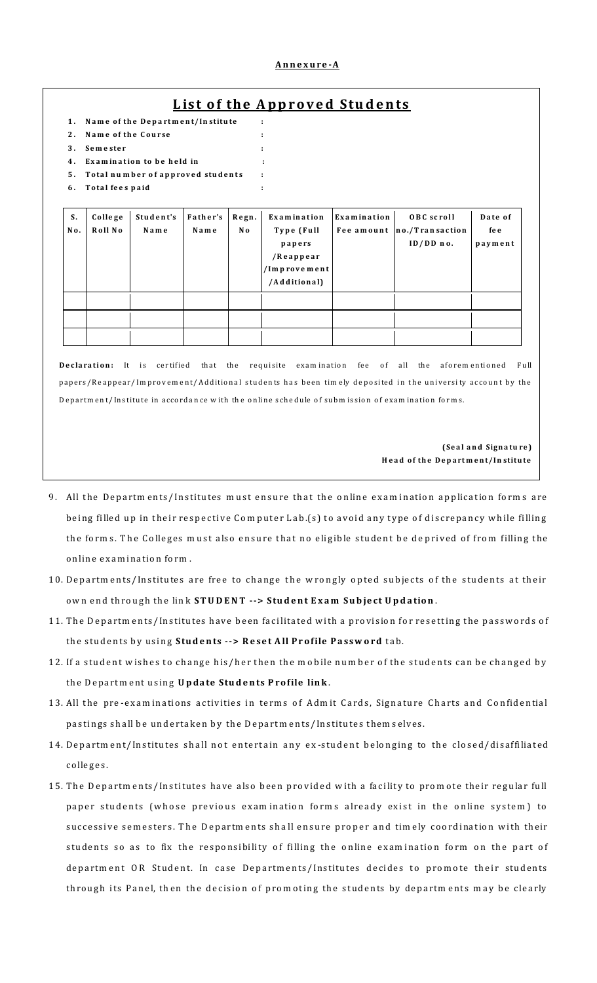## L ist of the Annroved Students

| 1.<br>$2$ .<br>3.<br>4.<br>5.<br>6. | Name of the Course<br>Semester<br>Total fees paid | Name of the Department/Institute<br>Examination to be held in<br>Total number of approved students |                  |                         | ÷<br>÷                                                                           |             |                                                          |                            |
|-------------------------------------|---------------------------------------------------|----------------------------------------------------------------------------------------------------|------------------|-------------------------|----------------------------------------------------------------------------------|-------------|----------------------------------------------------------|----------------------------|
| S.<br>No.                           | College<br>Roll No                                | Student's<br>Name                                                                                  | Father's<br>Name | Regn.<br>N <sub>o</sub> | Examination<br>Type (Full<br>papers<br>/Reappear<br>/Improvement<br>/Additional) | Examination | OBC scroll<br>Fee amount  no./Transaction<br>$ID/DD$ no. | Date of<br>fe e<br>payment |
|                                     |                                                   |                                                                                                    |                  |                         |                                                                                  |             |                                                          |                            |

papers/Reappear/Im provem ent/Additional students has been timely deposited in the university account by the Departm en t/ Institute in accordance with the online schedule of submission of examination forms.

> **( Se a l a n d Sign a tu re ) H e a d o f th e D e p a rt m e n t/I n stitu te**

- 9. All the Departments/Institutes must ensure that the online examination application forms are being filled up in their respective Computer Lab.(s) to avoid any type of discrepancy while filling the forms. The Colleges must also ensure that no eligible student be deprived of from filling the online examination form.
- 10. Departments/Institutes are free to change the wrongly opted subjects of the students at their own end through the link **STUDENT --> Student Exam Subject Updation**.
- 11. The Departments/Institutes have been facilitated with a provision for resetting the passwords of the students by using Students --> Reset All Profile Password tab.
- 12. If a student wishes to change his/her then the mobile number of the students can be changed by the Department using Update Students Profile link.
- 13. All the pre-examinations activities in terms of Admit Cards, Signature Charts and Confidential pastings shall be undertaken by the Departments/Institutes them selves.
- 14. Department/Institutes shall not entertain any ex-student belonging to the closed/disaffiliated c o lle g e s .
- 15. The Departments/Institutes have also been provided with a facility to promote their regular full paper students (whose previous examination forms already exist in the online system) to successive semesters. The Departments shall ensure proper and timely coordination with their students so as to fix the responsibility of filling the online examination form on the part of department OR Student. In case Departments/Institutes decides to promote their students th rough its Panel, then the decision of promoting the students by departments may be clearly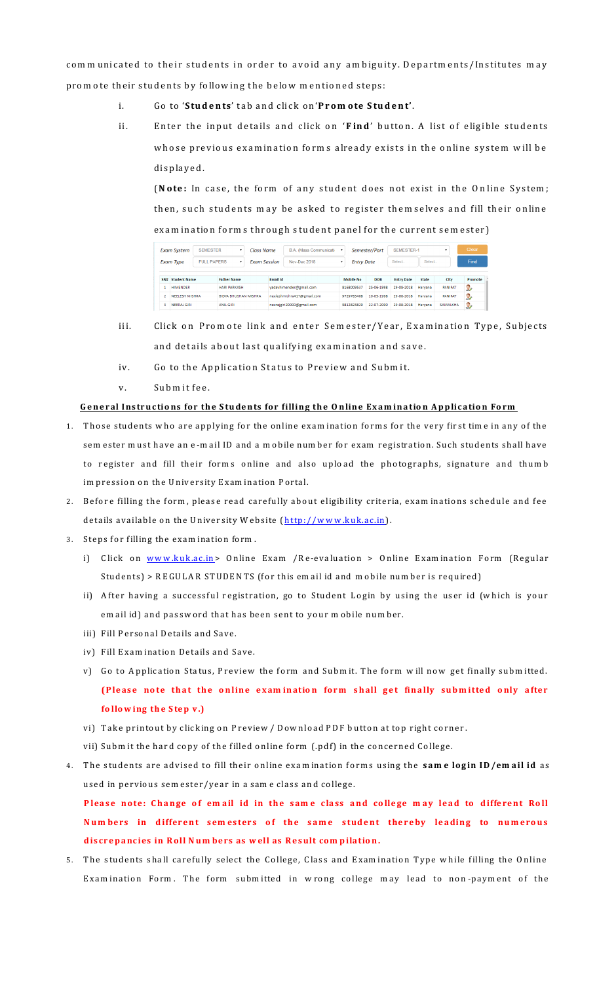com m unicated to their students in order to avoid any am biguity. Departments/Institutes may prom ote their students by following the below mentioned steps:

- i. Go to '**Students'** tab and click on 'Promote Student'.
- ii. Enter the input details and click on '**Find**' button. A list of eligible students whose previous examination forms already exists in the online system will be d is played.

(Note: In case, the form of any student does not exist in the Online System; then, such students may be asked to register themselves and fill their online examination forms through student panel for the current semester)

| <b>SEMESTER</b><br><b>Exam System</b> |                       | $\mathbf{r}$       | Class Name                  |                     | B.A. (Mass Communicati- |                            | Semester/Part |                   | <b>SEMESTER-1</b> |                   |              | Clear          |          |
|---------------------------------------|-----------------------|--------------------|-----------------------------|---------------------|-------------------------|----------------------------|---------------|-------------------|-------------------|-------------------|--------------|----------------|----------|
| <b>Exam Type</b>                      |                       | <b>FULL PAPERS</b> | $\mathbf{v}$                | <b>Exam Session</b> |                         | Nov-Dec 2018               |               | <b>Entry Date</b> |                   | Select.           | Select       |                | Find     |
| SN#                                   | <b>Student Name</b>   |                    | <b>Father Name</b>          |                     | <b>Email Id</b>         |                            |               | Mobile No         | <b>DOB</b>        | <b>Entry Date</b> | <b>State</b> | City           | Promote  |
|                                       | <b>HIMENDER</b>       |                    | <b>HARI PARKASH</b>         |                     |                         | vadavhimender@gmail.com    | 8168009537    |                   | 25-06-1998        | 29-08-2018        | Harvana      | <b>PANIPAT</b> | $\Omega$ |
|                                       |                       |                    |                             |                     |                         |                            | 9729783408    |                   |                   |                   |              |                |          |
|                                       | <b>NEELESH MISHRA</b> |                    | <b>BIDYA BHUSHAN MISHRA</b> |                     |                         | neeleshmishra417@gmail.com |               |                   | 10-05-1998        | 29-08-2018        | Harvana      | <b>PANIPAT</b> | $\Omega$ |

- iii. Click on Promote link and enter Semester/Year, Examination Type, Subjects and details about last qualifying examination and save.
- iv. Go to the Application Status to Preview and Submit.
- v. Submit fee.

## **General Instructions for the Students for filling the Online Examination Application Form**

- 1. Those students who are applying for the online exam ination forms for the very first time in any of the sem ester must have an e-mail ID and a mobile number for exam registration. Such students shall have to register and fill their forms online and also upload the photographs, signature and thumb im pression on the University Exam ination Portal.
- 2. Before filling the form, please read carefully about eligibility criteria, exam inations schedule and fee details available on the University Website (http://www.kuk.ac.in).
- 3. Steps for filling the examination form.
	- i) Click on www.kuk.ac.in> Online Exam /Re-evaluation > Online Examination Form (Regular Students) > REGULAR STUDENTS (for this em ail id and m obile num ber is required)
	- ii) After having a successful registration, go to Student Login by using the user id (which is your em ail id) and passw ord that has been sent to your mobile number.
	- iii) Fill Personal Details and Save.
	- iv) Fill Exam ination Details and Save.
	- v) Go to Application Status, Preview the form and Submit. The form will now get finally submitted. (Please note that the online examination form shall get finally submitted only after following the Step v.)
	- vi) Take printout by clicking on Preview / Download PDF button at top right corner.
	- vii) Subm it the hard copy of the filled online form (.pdf) in the concerned College.
- 4. The students are advised to fill their online examination forms using the same login ID/email id as used in pervious sem ester/year in a sam e class and college.

Please note: Change of email id in the same class and college may lead to different Roll **Numbers in different semesters of the same student thereby leading to numerous** discrepancies in Roll Numbers as well as Result compilation.

5. The students shall carefully select the College, Class and Examination Type while filling the Online Exam ination Form. The form submitted in w rong college may lead to non-payment of the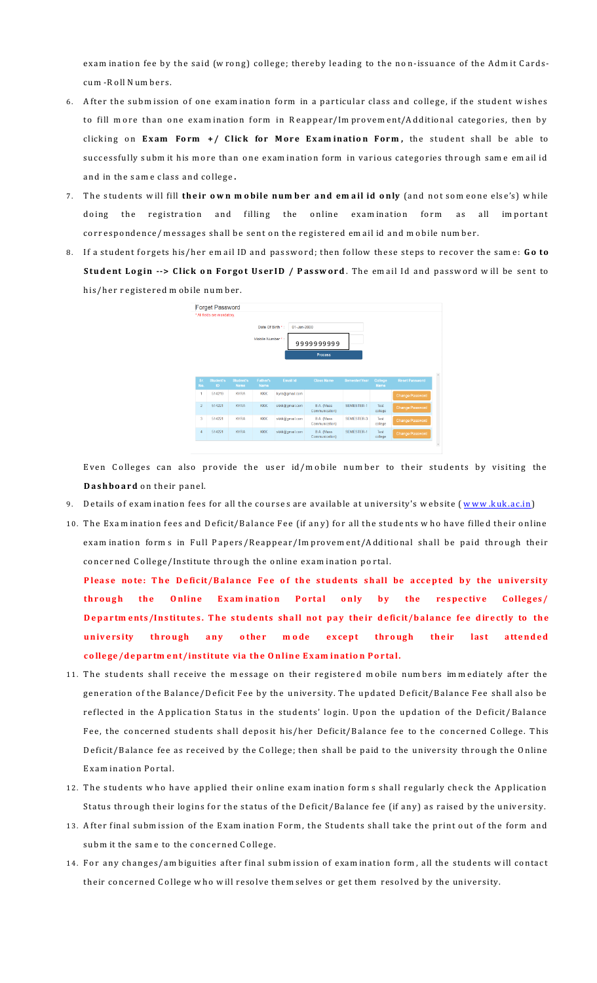exam ination fee by the said (wrong) college; thereby leading to the non-issuance of the Admit Cardscum - Roll N um bers.

- 6. After the subm ission of one exam ination form in a particular class and college, if the student wishes to fill more than one examination form in Reappear/Improvement/Additional categories, then by clicking on Exam Form +/ Click for More Examination Form, the student shall be able to successfully subm it his more than one examination form in various categories through same email id and in the same class and college.
- 7. The students will fill their own mobile number and email id only (and not someone else's) while doing the registration and filling the online examination form as all important correspondence/messages shall be sent on the registered em ail id and mobile number.
- 8. If a student forgets his/her em ail ID and password; then follow these steps to recover the same: Go to **Student Login --> Click on Forgot UserID / Password**. The email Id and password will be sent to his/her registered mobile number.



Even Colleges can also provide the user id/mobile number to their students by visiting the **Dashboard** on their panel.

- 9. Details of examination fees for all the courses are available at university's website (www.kuk.ac.in)
- 10. The Exam ination fees and Deficit/Balance Fee (if any) for all the students who have filled their online exam ination forms in Full Papers/Reappear/Im provem ent/Additional shall be paid through their concerned College/Institute through the online exam ination portal.

Please note: The Deficit/Balance Fee of the students shall be accepted by the university through the Online Examination Portal only by the respective Colleges/ Departments/Institutes. The students shall not pay their deficit/balance fee directly to the university through any other mode except through their last attended college/department/institute via the Online Examination Portal.

- 11. The students shall receive the message on their registered mobile numbers immediately after the generation of the Balance/Deficit Fee by the university. The updated Deficit/Balance Fee shall also be reflected in the Application Status in the students' login. Upon the updation of the Deficit/Balance Fee, the concerned students shall deposit his/her Deficit/Balance fee to the concerned College. This Deficit/Balance fee as received by the College; then shall be paid to the university through the Online Exam ination Portal.
- 12. The students who have applied their online examination forms shall regularly check the Application Status through their logins for the status of the Deficit/Balance fee (if any) as raised by the university.
- 13. After final subm ission of the Examination Form, the Students shall take the print out of the form and subm it the same to the concerned College.
- 14. For any changes/am biguities after final subm ission of exam ination form, all the students will contact their concerned College who w ill resolve them selves or get them resolved by the university.